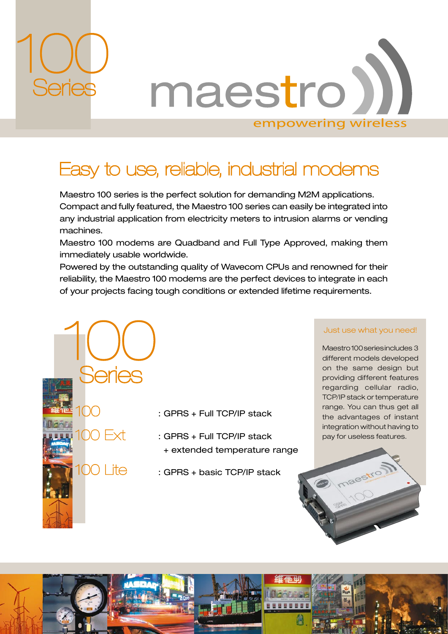

**Series** 

 $100$  Fxt

00 | ite

maestro) empowering wireless

## Easy to use, reliable, industrial modems

Maestro 100 series is the perfect solution for demanding M2M applications. Compact and fully featured, the Maestro 100 series can easily be integrated into any industrial application from electricity meters to intrusion alarms or vending machines.

Maestro 100 modems are Quadband and Full Type Approved, making them immediately usable worldwide.

Powered by the outstanding quality of Wavecom CPUs and renowned for their reliability, the Maestro 100 modems are the perfect devices to integrate in each of your projects facing tough conditions or extended lifetime requirements.

## Just use what you need!

Maestro 100 series includes 3 different models developed on the same design but providing different features regarding cellular radio, TCP/IP stack or temperature range. You can thus get all the advantages of instant integration without having to pay for useless features.

: GPRS + Full TCP/IP stack

: GPRS + Full TCP/IP stack + extended temperature range

REEEE

: GPRS + basic TCP/IP stack